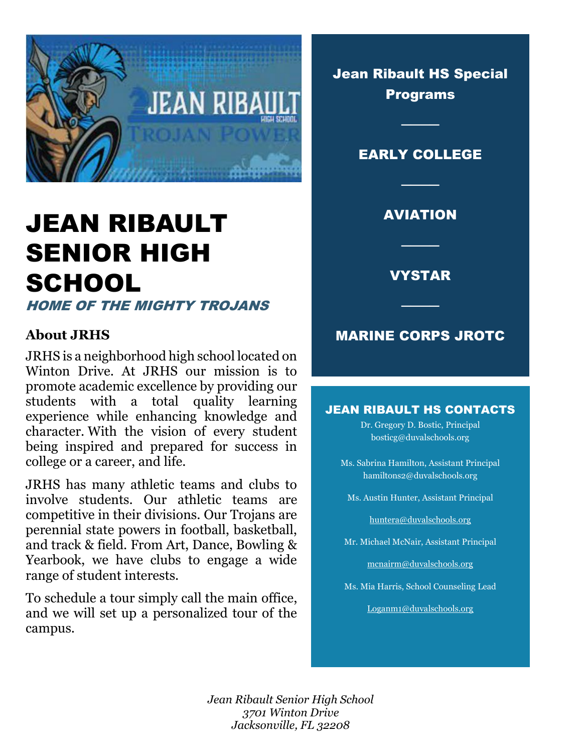

# JEAN RIBAULT SENIOR HIGH **SCHOOL**

HOME OF THE MIGHTY TROJANS

### **About JRHS**

JRHS is a neighborhood high school located on Winton Drive. At JRHS our mission is to promote academic excellence by providing our students with a total quality learning experience while enhancing knowledge and character. With the vision of every student being inspired and prepared for success in college or a career, and life.

JRHS has many athletic teams and clubs to involve students. Our athletic teams are competitive in their divisions. Our Trojans are perennial state powers in football, basketball, and track & field. From Art, Dance, Bowling & Yearbook, we have clubs to engage a wide range of student interests.

To schedule a tour simply call the main office, and we will set up a personalized tour of the campus.

Jean Ribault HS Special Programs

### EARLY COLLEGE

────

### AVIATION

────

────

VYSTAR

### MARINE CORPS JROTC

────

#### JEAN RIBAULT HS CONTACTS

Dr. Gregory D. Bostic, Principal bosticg@duvalschools.org

- Ms. Sabrina Hamilton, Assistant Principal hamiltons2@duvalschools.org
	- Ms. Austin Hunter, Assistant Principal

[huntera@duvalschools.org](mailto:huntera@duvalschools.org)

Mr. Michael McNair, Assistant Principal

[mcnairm@duvalschools.org](mailto:mcnairm@duvalschools.org)

Ms. Mia Harris, School Counseling Lead

[Loganm1@duvalschools.org](mailto:Loganm1@duvalschools.org)

Dates and Times *Jean Ribault Senior High School 3701 Winton Drive Jacksonville, FL 32208*